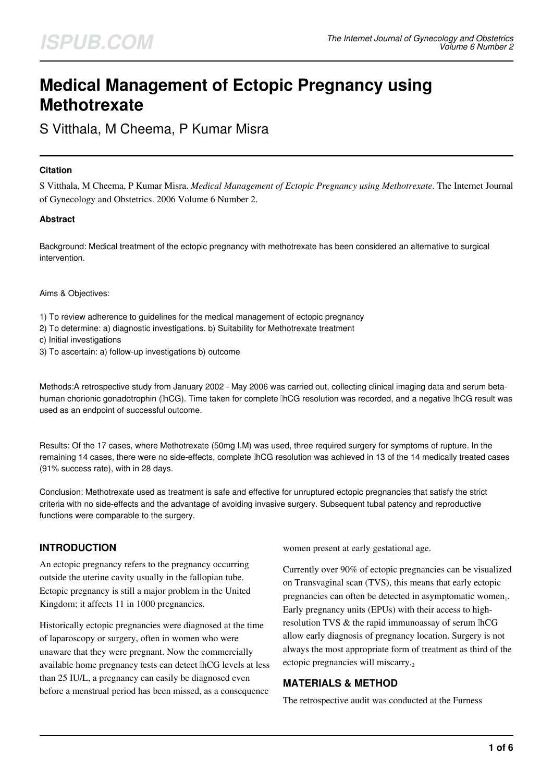# **Medical Management of Ectopic Pregnancy using Methotrexate**

S Vitthala, M Cheema, P Kumar Misra

#### **Citation**

S Vitthala, M Cheema, P Kumar Misra. *Medical Management of Ectopic Pregnancy using Methotrexate*. The Internet Journal of Gynecology and Obstetrics. 2006 Volume 6 Number 2.

#### **Abstract**

Background: Medical treatment of the ectopic pregnancy with methotrexate has been considered an alternative to surgical intervention.

Aims & Objectives:

1) To review adherence to guidelines for the medical management of ectopic pregnancy

- 2) To determine: a) diagnostic investigations. b) Suitability for Methotrexate treatment
- c) Initial investigations
- 3) To ascertain: a) follow-up investigations b) outcome

Methods:A retrospective study from January 2002 - May 2006 was carried out, collecting clinical imaging data and serum betahuman chorionic gonadotrophin (βhCG). Time taken for complete βhCG resolution was recorded, and a negative βhCG result was used as an endpoint of successful outcome.

Results: Of the 17 cases, where Methotrexate (50mg I.M) was used, three required surgery for symptoms of rupture. In the remaining 14 cases, there were no side-effects, complete βhCG resolution was achieved in 13 of the 14 medically treated cases (91% success rate), with in 28 days.

Conclusion: Methotrexate used as treatment is safe and effective for unruptured ectopic pregnancies that satisfy the strict criteria with no side-effects and the advantage of avoiding invasive surgery. Subsequent tubal patency and reproductive functions were comparable to the surgery.

#### **INTRODUCTION**

An ectopic pregnancy refers to the pregnancy occurring outside the uterine cavity usually in the fallopian tube. Ectopic pregnancy is still a major problem in the United Kingdom; it affects 11 in 1000 pregnancies.

Historically ectopic pregnancies were diagnosed at the time of laparoscopy or surgery, often in women who were unaware that they were pregnant. Now the commercially available home pregnancy tests can detect βhCG levels at less than 25 IU/L, a pregnancy can easily be diagnosed even before a menstrual period has been missed, as a consequence

women present at early gestational age.

Currently over 90% of ectopic pregnancies can be visualized on Transvaginal scan (TVS), this means that early ectopic pregnancies can often be detected in asymptomatic women<sub>1</sub>. Early pregnancy units (EPUs) with their access to highresolution TVS & the rapid immunoassay of serum IhCG allow early diagnosis of pregnancy location. Surgery is not always the most appropriate form of treatment as third of the ectopic pregnancies will miscarry.

#### **MATERIALS & METHOD**

The retrospective audit was conducted at the Furness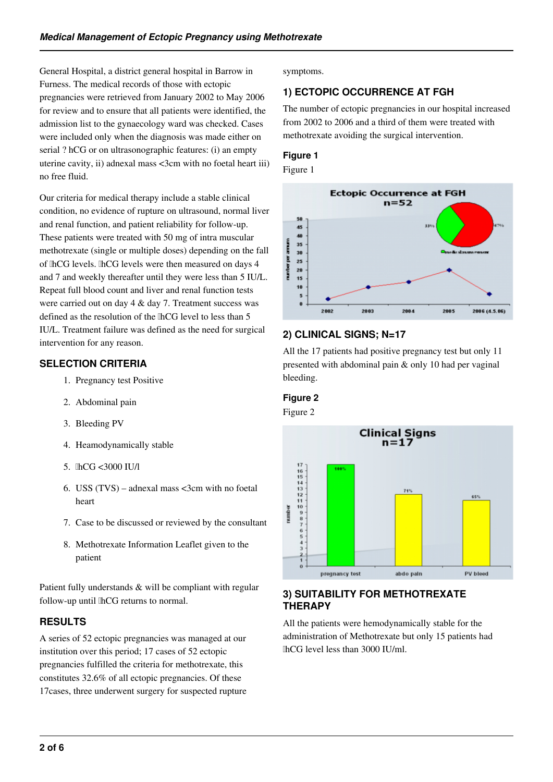General Hospital, a district general hospital in Barrow in Furness. The medical records of those with ectopic pregnancies were retrieved from January 2002 to May 2006 for review and to ensure that all patients were identified, the admission list to the gynaecology ward was checked. Cases were included only when the diagnosis was made either on serial ? hCG or on ultrasonographic features: (i) an empty uterine cavity, ii) adnexal mass <3cm with no foetal heart iii) no free fluid.

Our criteria for medical therapy include a stable clinical condition, no evidence of rupture on ultrasound, normal liver and renal function, and patient reliability for follow-up. These patients were treated with 50 mg of intra muscular methotrexate (single or multiple doses) depending on the fall of <sub>IhCG</sub> levels. IhCG levels were then measured on days 4 and 7 and weekly thereafter until they were less than 5 IU/L. Repeat full blood count and liver and renal function tests were carried out on day 4 & day 7. Treatment success was defined as the resolution of the  $[hCG]$  level to less than 5 IU/L. Treatment failure was defined as the need for surgical intervention for any reason.

#### **SELECTION CRITERIA**

- 1. Pregnancy test Positive
- 2. Abdominal pain
- 3. Bleeding PV
- 4. Heamodynamically stable
- 5. βhCG <3000 IU/l
- 6. USS  $(TVS)$  adnexal mass <3cm with no foetal heart
- 7. Case to be discussed or reviewed by the consultant
- 8. Methotrexate Information Leaflet given to the patient

Patient fully understands & will be compliant with regular follow-up until lhCG returns to normal.

## **RESULTS**

A series of 52 ectopic pregnancies was managed at our institution over this period; 17 cases of 52 ectopic pregnancies fulfilled the criteria for methotrexate, this constitutes 32.6% of all ectopic pregnancies. Of these 17cases, three underwent surgery for suspected rupture symptoms.

# **1) ECTOPIC OCCURRENCE AT FGH**

The number of ectopic pregnancies in our hospital increased from 2002 to 2006 and a third of them were treated with methotrexate avoiding the surgical intervention.

## **Figure 1**

Figure 1



## **2) CLINICAL SIGNS; N=17**

All the 17 patients had positive pregnancy test but only 11 presented with abdominal pain & only 10 had per vaginal bleeding.

## **Figure 2**

Figure 2



## **3) SUITABILITY FOR METHOTREXATE THERAPY**

All the patients were hemodynamically stable for the administration of Methotrexate but only 15 patients had βhCG level less than 3000 IU/ml.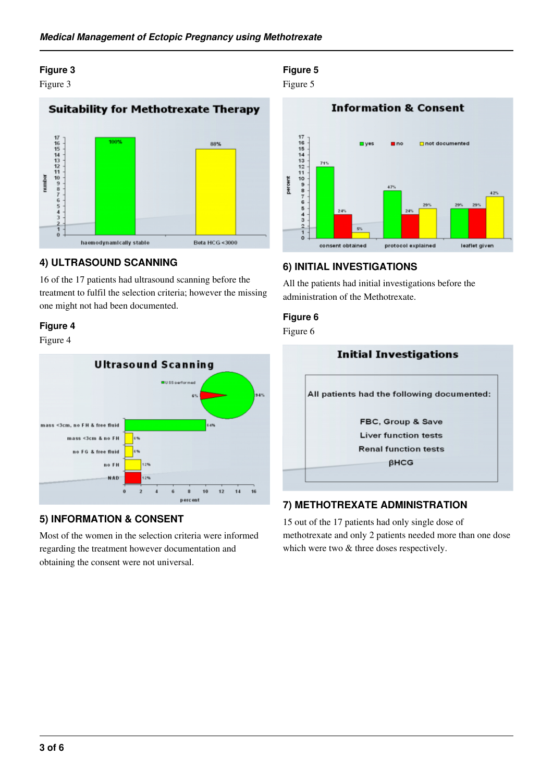## **Figure 3**

Figure 3

# **Suitability for Methotrexate Therapy**  $17651112110987$ 88% number  $h + h$ haemodynamically stable Beta HCG <3000

#### **4) ULTRASOUND SCANNING**

16 of the 17 patients had ultrasound scanning before the treatment to fulfil the selection criteria; however the missing one might not had been documented.

#### **Figure 4**

Figure 4



## **5) INFORMATION & CONSENT**

Most of the women in the selection criteria were informed regarding the treatment however documentation and obtaining the consent were not universal.

# **Figure 5**

Figure 5



#### **6) INITIAL INVESTIGATIONS**

All the patients had initial investigations before the administration of the Methotrexate.

#### **Figure 6**

Figure 6



## **7) METHOTREXATE ADMINISTRATION**

15 out of the 17 patients had only single dose of methotrexate and only 2 patients needed more than one dose which were two  $&$  three doses respectively.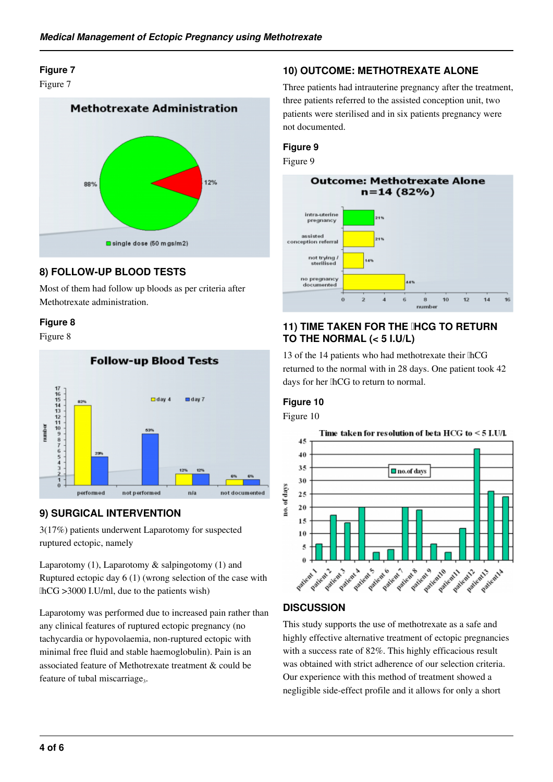## **Figure 7**

Figure 7



## **8) FOLLOW-UP BLOOD TESTS**

Most of them had follow up bloods as per criteria after Methotrexate administration.

#### **Figure 8**

Figure 8



## **9) SURGICAL INTERVENTION**

3(17%) patients underwent Laparotomy for suspected ruptured ectopic, namely

Laparotomy (1), Laparotomy & salpingotomy (1) and Ruptured ectopic day 6 (1) (wrong selection of the case with βhCG >3000 I.U/ml, due to the patients wish)

Laparotomy was performed due to increased pain rather than any clinical features of ruptured ectopic pregnancy (no tachycardia or hypovolaemia, non-ruptured ectopic with minimal free fluid and stable haemoglobulin). Pain is an associated feature of Methotrexate treatment & could be feature of tubal miscarriage<sub>3</sub>.

## **10) OUTCOME: METHOTREXATE ALONE**

Three patients had intrauterine pregnancy after the treatment, three patients referred to the assisted conception unit, two patients were sterilised and in six patients pregnancy were not documented.

## **Figure 9**

Figure 9



#### **11) TIME TAKEN FOR THE IHCG TO RETURN TO THE NORMAL (< 5 I.U/L)**

13 of the 14 patients who had methotrexate their lhCG returned to the normal with in 28 days. One patient took 42 days for her lhCG to return to normal.

## **Figure 10**

Figure 10



## **DISCUSSION**

This study supports the use of methotrexate as a safe and highly effective alternative treatment of ectopic pregnancies with a success rate of 82%. This highly efficacious result was obtained with strict adherence of our selection criteria. Our experience with this method of treatment showed a negligible side-effect profile and it allows for only a short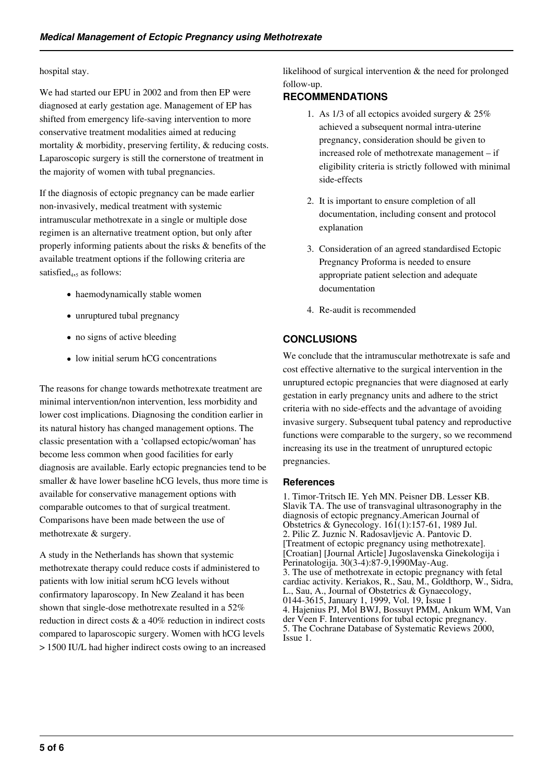#### hospital stay.

We had started our EPU in 2002 and from then EP were diagnosed at early gestation age. Management of EP has shifted from emergency life-saving intervention to more conservative treatment modalities aimed at reducing mortality & morbidity, preserving fertility, & reducing costs. Laparoscopic surgery is still the cornerstone of treatment in the majority of women with tubal pregnancies.

If the diagnosis of ectopic pregnancy can be made earlier non-invasively, medical treatment with systemic intramuscular methotrexate in a single or multiple dose regimen is an alternative treatment option, but only after properly informing patients about the risks & benefits of the available treatment options if the following criteria are satisfied<sub>4,5</sub> as follows:

- haemodynamically stable women
- unruptured tubal pregnancy
- no signs of active bleeding
- low initial serum hCG concentrations

The reasons for change towards methotrexate treatment are minimal intervention/non intervention, less morbidity and lower cost implications. Diagnosing the condition earlier in its natural history has changed management options. The classic presentation with a 'collapsed ectopic/woman' has become less common when good facilities for early diagnosis are available. Early ectopic pregnancies tend to be smaller & have lower baseline hCG levels, thus more time is available for conservative management options with comparable outcomes to that of surgical treatment. Comparisons have been made between the use of methotrexate & surgery.

A study in the Netherlands has shown that systemic methotrexate therapy could reduce costs if administered to patients with low initial serum hCG levels without confirmatory laparoscopy. In New Zealand it has been shown that single-dose methotrexate resulted in a 52% reduction in direct costs & a 40% reduction in indirect costs compared to laparoscopic surgery. Women with hCG levels > 1500 IU/L had higher indirect costs owing to an increased likelihood of surgical intervention & the need for prolonged follow-up.

#### **RECOMMENDATIONS**

- 1. As 1/3 of all ectopics avoided surgery & 25% achieved a subsequent normal intra-uterine pregnancy, consideration should be given to increased role of methotrexate management – if eligibility criteria is strictly followed with minimal side-effects
- 2. It is important to ensure completion of all documentation, including consent and protocol explanation
- 3. Consideration of an agreed standardised Ectopic Pregnancy Proforma is needed to ensure appropriate patient selection and adequate documentation
- 4. Re-audit is recommended

#### **CONCLUSIONS**

We conclude that the intramuscular methotrexate is safe and cost effective alternative to the surgical intervention in the unruptured ectopic pregnancies that were diagnosed at early gestation in early pregnancy units and adhere to the strict criteria with no side-effects and the advantage of avoiding invasive surgery. Subsequent tubal patency and reproductive functions were comparable to the surgery, so we recommend increasing its use in the treatment of unruptured ectopic pregnancies.

#### **References**

1. Timor-Tritsch IE. Yeh MN. Peisner DB. Lesser KB. Slavik TA. The use of transvaginal ultrasonography in the diagnosis of ectopic pregnancy.American Journal of Obstetrics & Gynecology. 161(1):157-61, 1989 Jul. 2. Pilic Z. Juznic N. Radosavljevic A. Pantovic D. [Treatment of ectopic pregnancy using methotrexate]. [Croatian] [Journal Article] Jugoslavenska Ginekologija i Perinatologija. 30(3-4):87-9,1990May-Aug. 3. The use of methotrexate in ectopic pregnancy with fetal cardiac activity. Keriakos, R., Sau, M., Goldthorp, W., Sidra, L., Sau, A., Journal of Obstetrics & Gynaecology, 0144-3615, January 1, 1999, Vol. 19, Issue 1 4. Hajenius PJ, Mol BWJ, Bossuyt PMM, Ankum WM, Van der Veen F. Interventions for tubal ectopic pregnancy. 5. The Cochrane Database of Systematic Reviews 2000, Issue 1.